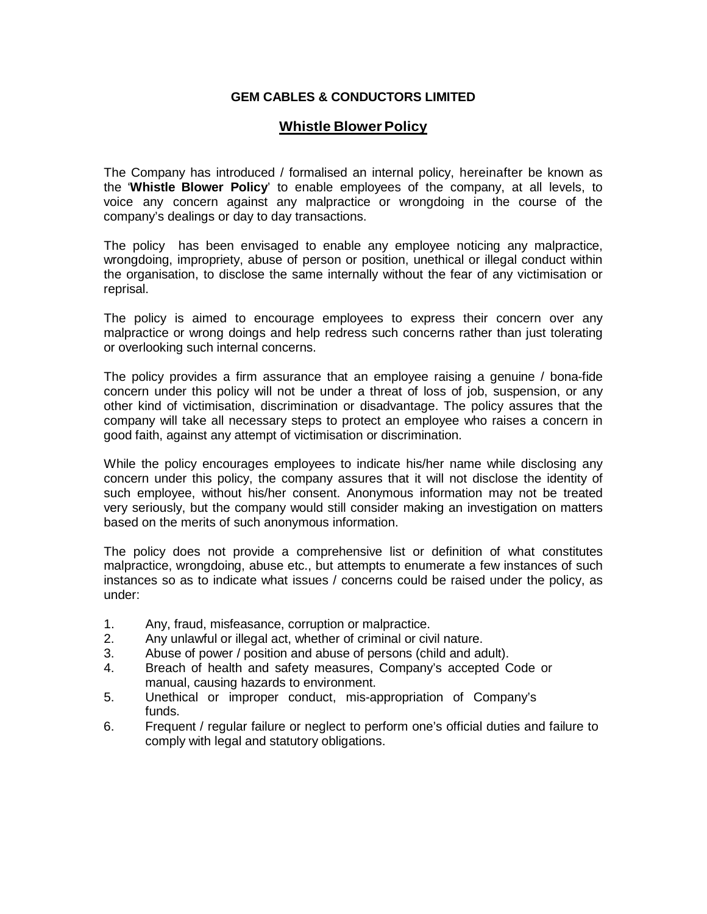## **GEM CABLES & CONDUCTORS LIMITED**

## **Whistle Blower Policy**

The Company has introduced / formalised an internal policy, hereinafter be known as the '**Whistle Blower Policy**' to enable employees of the company, at all levels, to voice any concern against any malpractice or wrongdoing in the course of the company's dealings or day to day transactions.

The policy has been envisaged to enable any employee noticing any malpractice, wrongdoing, impropriety, abuse of person or position, unethical or illegal conduct within the organisation, to disclose the same internally without the fear of any victimisation or reprisal.

The policy is aimed to encourage employees to express their concern over any malpractice or wrong doings and help redress such concerns rather than just tolerating or overlooking such internal concerns.

The policy provides a firm assurance that an employee raising a genuine / bona-fide concern under this policy will not be under a threat of loss of job, suspension, or any other kind of victimisation, discrimination or disadvantage. The policy assures that the company will take all necessary steps to protect an employee who raises a concern in good faith, against any attempt of victimisation or discrimination.

While the policy encourages employees to indicate his/her name while disclosing any concern under this policy, the company assures that it will not disclose the identity of such employee, without his/her consent. Anonymous information may not be treated very seriously, but the company would still consider making an investigation on matters based on the merits of such anonymous information.

The policy does not provide a comprehensive list or definition of what constitutes malpractice, wrongdoing, abuse etc., but attempts to enumerate a few instances of such instances so as to indicate what issues / concerns could be raised under the policy, as under:

- 1. Any, fraud, misfeasance, corruption or malpractice.
- 2. Any unlawful or illegal act, whether of criminal or civil nature.
- 3. Abuse of power / position and abuse of persons (child and adult).
- 4. Breach of health and safety measures, Company's accepted Code or manual, causing hazards to environment.
- 5. Unethical or improper conduct, mis-appropriation of Company's funds.
- 6. Frequent / regular failure or neglect to perform one's official duties and failure to comply with legal and statutory obligations.